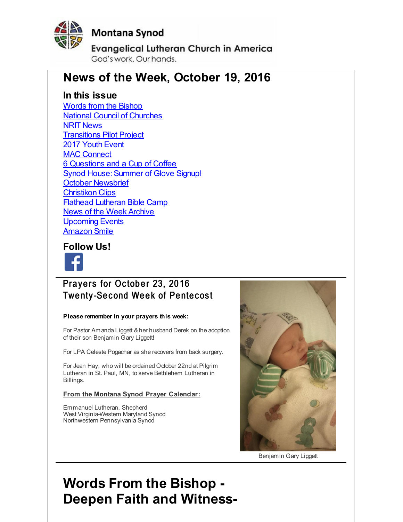<span id="page-0-0"></span>

## **Montana Synod**

**Evangelical Lutheran Church in America** God's work, Our hands,

## **News of the Week, October 19, 2016**

## **In this issue**

Words from the [Bishop](#page-0-0) National Council of [Churches](#page-0-0) NRIT [News](#page-0-0) [Transitions](#page-0-0) Pilot Project 2017 [Youth](#page-0-0) Event MAC [Connect](#page-0-0) 6 [Questions](#page-0-0) and a Cup of Coffee Synod House: Summer of Glove Signup! October [Newsbrief](#page-0-0) [Christikon](#page-0-0) Clips Flathead [Lutheran](#page-0-0) Bible Camp News of the Week [Archive](#page-0-0) [Upcoming](#page-0-0) Events [Amazon](#page-0-0) Smile

## **Follow Us!**



## Prayers for October 23, 2016 **Twenty-Second Week of Pentecost**

#### **Please remember in your prayers this week:**

For Pastor Amanda Liggett & her husband Derek on the adoption of their son Benjamin Gary Liggett!

For LPA Celeste Pogachar as she recovers from back surgery.

For Jean Hay, who will be ordained October 22nd at Pilgrim Lutheran in St. Paul, MN, to serve Bethlehem Lutheran in Billings.

#### **From the Montana Synod Prayer Calendar:**

Emmanuel Lutheran, Shepherd West Virginia-Western Maryland Synod Northwestern Pennsylvania Synod



Benjamin Gary Liggett

# **Words From the Bishop - Deepen Faith and Witness-**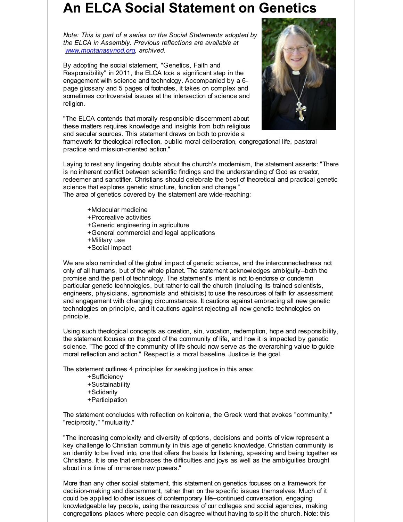# **An ELCA Social Statement on Genetics**

*Note: This is part of a series on the Social Statements adopted by the ELCA in Assembly. Previous reflections are available at [www.montanasynod.org](http://r20.rs6.net/tn.jsp?f=001Xe-_HkuGvZNI02Y_6sLnYbv8h0xh2uNT5iiiXpPH_RpqLQKOD_6h3X0_12wpQtdwEF9zp4ZMVPOW6VVWqKizaAVzgrYDfW1opRZdwUGzHMQeb3Rgofa-pSGwL6Bn4ywP5TT-T-qyaUlDiaDPz30Zq5ZgsG8Xr7r0iST3LmEXko8=&c=&ch=), archived.*

By adopting the social statement, "Genetics, Faith and Responsibility" in 2011, the ELCA took a significant step in the engagement with science and technology. Accompanied by a 6 page glossary and 5 pages of footnotes, it takes on complex and sometimes controversial issues at the intersection of science and religion.

"The ELCA contends that morally responsible discernment about these matters requires knowledge and insights from both religious and secular sources. This statement draws on both to provide a



framework for theological reflection, public moral deliberation, congregational life, pastoral practice and mission-oriented action."

Laying to rest any lingering doubts about the church's modernism, the statement asserts: "There is no inherent conflict between scientific findings and the understanding of God as creator, redeemer and sanctifier. Christians should celebrate the best of theoretical and practical genetic science that explores genetic structure, function and change." The area of genetics covered by the statement are wide-reaching:

- +Molecular medicine
- +Procreative activities
- +Generic engineering in agriculture
- +General commercial and legal applications
- +Military use
- +Social impact

We are also reminded of the global impact of genetic science, and the interconnectedness not only of all humans, but of the whole planet. The statement acknowledges ambiguity--both the promise and the peril of technology. The statement's intent is not to endorse or condemn particular genetic technologies, but rather to call the church (including its trained scientists, engineers, physicians, agronomists and ethicists) to use the resources of faith for assessment and engagement with changing circumstances. It cautions against embracing all new genetic technologies on principle, and it cautions against rejecting all new genetic technologies on principle.

Using such theological concepts as creation, sin, vocation, redemption, hope and responsibility, the statement focuses on the good of the community of life, and how it is impacted by genetic science. "The good of the community of life should now serve as the overarching value to guide moral reflection and action." Respect is a moral baseline. Justice is the goal.

The statement outlines 4 principles for seeking justice in this area:

- +Sufficiency
- +Sustainability
- +Solidarity
- +Participation

The statement concludes with reflection on koinonia, the Greek word that evokes "community," "reciprocity," "mutuality."

"The increasing complexity and diversity of options, decisions and points of view represent a key challenge to Christian community in this age of genetic knowledge. Christian community is an identity to be lived into, one that offers the basis for listening, speaking and being together as Christians. It is one that embraces the difficulties and joys as well as the ambiguities brought about in a time of immense new powers."

More than any other social statement, this statement on genetics focuses on a framework for decision-making and discernment, rather than on the specific issues themselves. Much of it could be applied to other issues of contemporary life--continued conversation, engaging knowledgeable lay people, using the resources of our colleges and social agencies, making congregations places where people can disagree without having to split the church. Note: this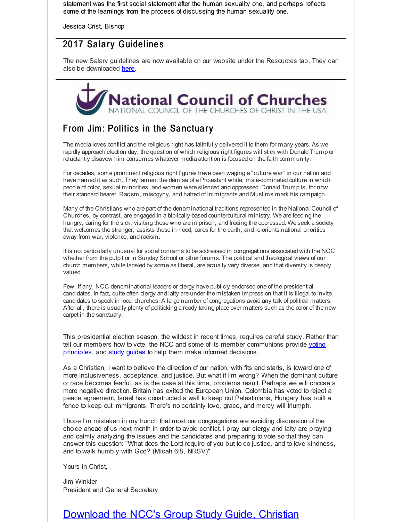statement was the first social statement after the human sexuality one, and perhaps reflects some of the learnings from the process of discussing the human sexuality one.

Jessica Crist, Bishop

## 2017 Salary Guidelines

The new Salary guidelines are now available on our website under the Resources tab. They can also be downloaded [here](http://r20.rs6.net/tn.jsp?f=001Xe-_HkuGvZNI02Y_6sLnYbv8h0xh2uNT5iiiXpPH_RpqLQKOD_6h3QKeSFQrxuNwXQtEVehCTT0ViaKweX3FjuyZiZc-de_-trPVJfMDlsEdv-vKRiYCu2dpP5hAcc5Qgh3_rFBWZqYvse4jJ8InpSmgnLLi2zqb8wvn5XWRu2yOsvh3fbjKb-XxWaYvT3bnxAiiIZzwWQ8QZgljiF2VfZy1sHBtSJXjmmz2pPkvFJUyn_6VxhCHazptoBXXpfC8DZ3VgFWrIj94Y7FygwFa99BeMcClBn_z&c=&ch=).



## From Jim: Politics in the Sanctuary

The media loves conflict and the religious right has faithfully delivered it to them for many years. As we rapidly approach election day, the question of which religious right figures will stick with Donald Trump or reluctantly disavow him consumes whatever media attention is focused on the faith community.

For decades, some prominent religious right figures have been waging a "culture war" in our nation and have named it as such. They lament the demise of a Protestant white, male-dominated culture in which people of color, sexual minorities, and women were silenced and oppressed. Donald Trump is, for now, their standard bearer. Racism, misogyny, and hatred of immigrants and Muslims mark his campaign.

Many of the Christians who are part of the denominational traditions represented in the National Council of Churches, by contrast, are engaged in a biblically-based countercultural ministry. We are feeding the hungry, caring for the sick, visiting those who are in prison, and freeing the oppressed. We seek a society that welcomes the stranger, assists those in need, cares for the earth, and re-orients national priorities away from war, violence, and racism.

It is not particularly unusual for social concerns to be addressed in congregations associated with the NCC whether from the pulpit or in Sunday School or other forums. The political and theological views of our church members, while labeled by some as liberal, are actually very diverse, and that diversity is deeply valued.

Few, if any, NCC denominational leaders or dergy have publicly endorsed one of the presidential candidates. In fact, quite often clergy and laity are under the mistaken impression that it is illegal to invite candidates to speak in local churches. A large number of congregations avoid any talk of political matters. After all, there is usually plenty of politicking already taking place over matters such as the color of the new carpet in the sanctuary.

This presidential election season, the wildest in recent times, requires careful study. Rather than tell our members how to vote, the NCC and some of its member [communions](http://r20.rs6.net/tn.jsp?f=001Xe-_HkuGvZNI02Y_6sLnYbv8h0xh2uNT5iiiXpPH_RpqLQKOD_6h3QKeSFQrxuNw0Mojwd7RiZK7YlydMTXvQZ6RIx5dw_Xfx9-KdoajXqs9R6QI7Iti0IYMi0zLlm7tsKu31PUFAqmXJbot8zVBXaDX2nany2p7TNtvDzclxNICy-_3f_nk8y-pYrWI8E5IU2IJqiQSttN2P31IdlgPCE5CSpDW1lLrHc41-Jxbhx_ng-S935yvrZZ2AL0CIE61MH26FWc7Faxgi1QDT_nDGtSDqxi1JwJ3&c=&ch=) provide voting principles, and study [guides](http://r20.rs6.net/tn.jsp?f=001Xe-_HkuGvZNI02Y_6sLnYbv8h0xh2uNT5iiiXpPH_RpqLQKOD_6h3QKeSFQrxuNwKbRbisdAIbZG2krCBi2b7XBKWigdArdRshd-QCv7TRNjz4N1vRaDG26mOSB_TMy6jKZSduOGNCJZXj56IbShmOcBbcVsS9oWk3u6oxouS53kKFrghhmZgtnPtldwtck1MXDYZHOrlGcOAgbufwIbwsoduQQEJ5Td-Qwg1p4rH6q_RPe1nREZJ4O6WQ_Q6l1nbmSkIUuZQLP1YmAXi2OssrLJWMLbtHlu&c=&ch=) to help them make informed decisions.

As a Christian, I want to believe the direction of our nation, with fits and starts, is toward one of more inclusiveness, acceptance, and justice. But what if I'm wrong? When the dominant culture or race becomes fearful, as is the case at this time, problems result. Perhaps we will choose a more negative direction. Britain has exited the European Union, Colombia has voted to reject a peace agreement, Israel has constructed a wall to keep out Palestinians, Hungary has built a fence to keep out immigrants. There's no certainty love, grace, and mercy will triumph.

I hope I'm mistaken in my hunch that most our congregations are avoiding discussion of the choice ahead of us next month in order to avoid conflict. I pray our clergy and laity are praying and calmly analyzing the issues and the candidates and preparing to vote so that they can answer this question: "What does the Lord require of you but to do justice, and to love kindness, and to walk humbly with God? (Micah 6:8, NRSV)"

Yours in Christ,

Jim Winkler President and General Secretary

## [Download](http://r20.rs6.net/tn.jsp?f=001Xe-_HkuGvZNI02Y_6sLnYbv8h0xh2uNT5iiiXpPH_RpqLQKOD_6h3QKeSFQrxuNw0Mojwd7RiZK7YlydMTXvQZ6RIx5dw_Xfx9-KdoajXqs9R6QI7Iti0IYMi0zLlm7tsKu31PUFAqmXJbot8zVBXaDX2nany2p7TNtvDzclxNICy-_3f_nk8y-pYrWI8E5IU2IJqiQSttN2P31IdlgPCE5CSpDW1lLrHc41-Jxbhx_ng-S935yvrZZ2AL0CIE61MH26FWc7Faxgi1QDT_nDGtSDqxi1JwJ3&c=&ch=) the NCC's Group Study Guide, Christian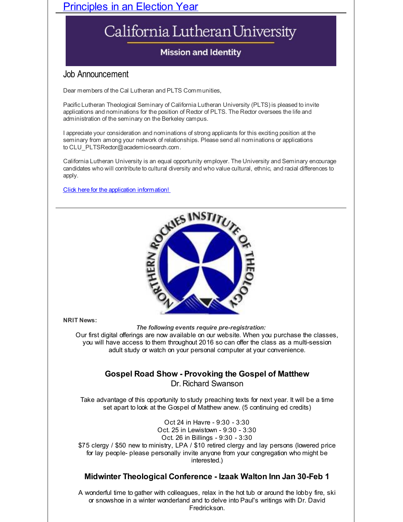## Principles in an Election Year

# California Lutheran University

## **Mission and Identity**

## Job Announcement

Dear members of the Cal Lutheran and PLTS Communities,

Pacific Lutheran Theological Seminary of California Lutheran University (PLTS) is pleased to invite applications and nominations for the position of Rector of PLTS. The Rector oversees the life and administration of the seminary on the Berkeley campus.

I appreciate your consideration and nominations of strong applicants for this exciting position at the seminary from among your network of relationships. Please send all nominations or applications to CLU\_PLTSRector@academic-search.com.

California Lutheran University is an equal opportunity employer. The University and Seminary encourage candidates who will contribute to cultural diversity and who value cultural, ethnic, and racial differences to apply.

Click here for the application [information!](http://r20.rs6.net/tn.jsp?f=001Xe-_HkuGvZNI02Y_6sLnYbv8h0xh2uNT5iiiXpPH_RpqLQKOD_6h3QKeSFQrxuNw2fwcoScupKOzDa5q4Tuw0g7fViSnB9MDH5ED0Vjo6zzIrPB5fmGW0C9JRaMp7d1sZtmSnuykFk9yCqWCSzgVCvbR4lzGFyc-x6CiRVirqApD032ZTY1XU_X6ic_lo33dGEn9MD2049Z_nKzBwa55kpWREsrNP7tH2z652I3wSl6gdRo0Bu7GwA==&c=&ch=)



#### **NRIT News:**

*The following events require pre-registration:*

Our first digital offerings are now available on our website. When you purchase the classes, you will have access to them throughout 2016 so can offer the class as a multi-session adult study or watch on your personal computer at your convenience.

#### **Gospel Road Show - Provoking the Gospel of Matthew** Dr. Richard Swanson

Take advantage of this opportunity to study preaching texts for next year. It will be a time set apart to look at the Gospel of Matthew anew. (5 continuing ed credits)

Oct 24 in Havre - 9:30 - 3:30 Oct. 25 in Lewistown - 9:30 - 3:30 Oct. 26 in Billings - 9:30 - 3:30 \$75 clergy / \$50 new to ministry, LPA / \$10 retired clergy and lay persons (lowered price for lay people- please personally invite anyone from your congregation who might be interested.)

### **Midwinter Theological Conference - Izaak Walton Inn Jan 30-Feb 1**

A wonderful time to gather with colleagues, relax in the hot tub or around the lobby fire, ski or snowshoe in a winter wonderland and to delve into Paul's writings with Dr. David Fredrickson.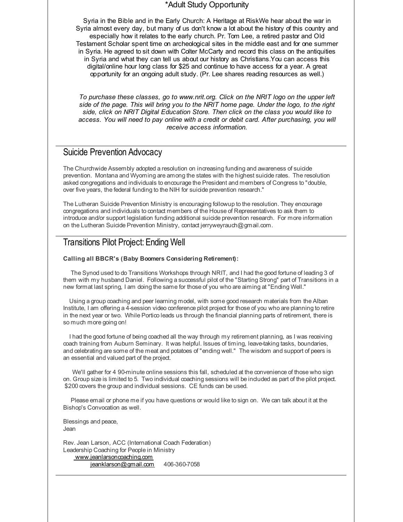#### \*Adult Study Opportunity

Syria in the Bible and in the Early Church: A Heritage at RiskWe hear about the war in Syria almost every day, but many of us don't know a lot about the history of this country and especially how it relates to the early church. Pr. Tom Lee, a retired pastor and Old Testament Scholar spent time on archeological sites in the middle east and for one summer in Syria. He agreed to sit down with Colter McCarty and record this class on the antiquities in Syria and what they can tell us about our history as Christians.You can access this digital/online hour long class for \$25 and continue to have access for a year. A great opportunity for an ongoing adult study. (Pr. Lee shares reading resources as well.)

*To purchase these classes, go to www.nrit.org. Click on the NRIT logo on the upper left side of the page. This will bring you to the NRIT home page. Under the logo, to the right side, click on NRIT Digital Education Store. Then click on the class you would like to access. You will need to pay online with a credit or debit card. After purchasing, you will receive access information.*

#### Suicide Prevention Advocacy

The Churchwide Assembly adopted a resolution on increasing funding and awareness of suicide prevention. Montana and Wyoming are among the states with the highest suicide rates. The resolution asked congregations and individuals to encourage the President and members of Congress to "double, over five years, the federal funding to the NIH for suicide prevention research."

The Lutheran Suicide Prevention Ministry is encouraging followup to the resolution. They encourage congregations and individuals to contact members of the House of Representatives to ask them to introduce and/or support legislation funding additional suicide prevention research. For more information on the Lutheran Suicide Prevention Ministry, contact jerryweyrauch@gmail.com.

## Transitions Pilot Project: Ending Well

#### **Calling all BBCR's (Baby Boomers Considering Retirement):**

The Synod used to do Transitions Workshops through NRIT, and I had the good fortune of leading 3 of them with my husband Daniel. Following a successful pilot of the "Starting Strong" part of Transitions in a new format last spring, I am doing the same for those of you who are aiming at "Ending Well."

Using a group coaching and peer learning model, with some good research materials from the Alban Institute, I am offering a 4-session video conference pilot project for those of you who are planning to retire in the next year or two. While Portico leads us through the financial planning parts of retirement, there is so much more going on!

I had the good fortune of being coached all the way through my retirement planning, as I was receiving coach training from Auburn Seminary. It was helpful. Issues of timing, leave-taking tasks, boundaries, and celebrating are some of the meat and potatoes of "ending well." The wisdom and support of peers is an essential and valued part of the project.

We'll gather for 4 90-minute online sessions this fall, scheduled at the convenience of those who sign on. Group size is limited to 5. Two individual coaching sessions will be included as part of the pilot project. \$200 covers the group and individual sessions. CE funds can be used.

Please email or phone me if you have questions or would like to sign on. We can talk about it at the Bishop's Convocation as well.

Blessings and peace, Jean

Rev. Jean Larson, ACC (International Coach Federation) Leadership Coaching for People in Ministry [www.jeanlarsoncoaching.com](http://r20.rs6.net/tn.jsp?f=001Xe-_HkuGvZNI02Y_6sLnYbv8h0xh2uNT5iiiXpPH_RpqLQKOD_6h3Wj-vr-2L34OLZbxiP9tLgCmRe9-qVmiMkeUY9lbTIHAqymaxjKIfguEF3yzHaQdi-s9slaB0fOOosbdZ0dl-wiXsnkQA3fRUW-34fw_odBk5Zz8Xxr_TNE0mEf-PiQ88g==&c=&ch=) [jeanklarson@gmail.com](mailto:jeanklarson@gmail.com) 406-360-7058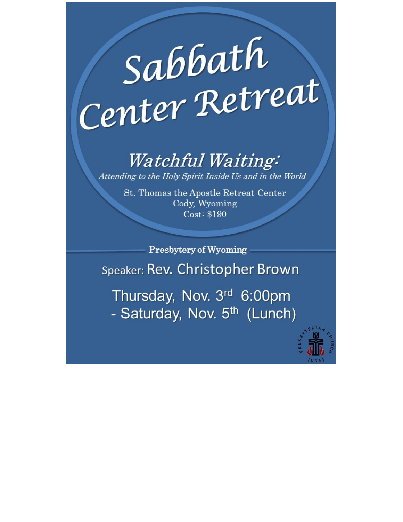# Sabbath Center Retreat

# *Watchful Waiting:*

Attending to the Holy Spirit Inside Us and in the World

St. Thomas the Apostle Retreat Center Cody, Wyoming Cost: \$190

Presbytery of Wyoming Speaker: Rev. Christopher Brown Thursday, Nov. 3rd 6:00pm

- Saturday, Nov. 5<sup>th</sup> (Lunch)

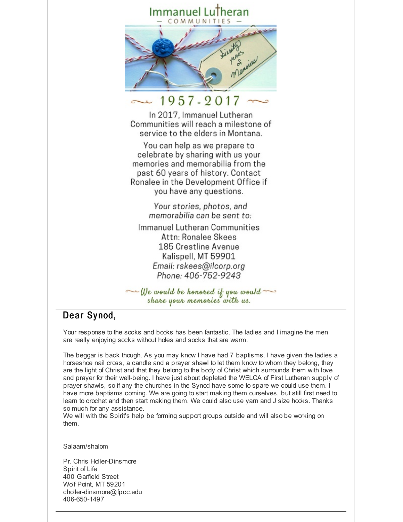#### Immanuel LuTheran OMMUNITIES



## 1957-2017

In 2017, Immanuel Lutheran Communities will reach a milestone of service to the elders in Montana.

You can help as we prepare to celebrate by sharing with us your memories and memorabilia from the past 60 years of history. Contact Ronalee in the Development Office if you have any questions.

> Your stories, photos, and memorabilia can be sent to:

Immanuel Lutheran Communities Attn: Ronalee Skees 185 Crestline Avenue Kalispell, MT 59901 Email: rskees@ilcorp.org Phone: 406-752-9243

 $\sim$  We would be honored if you would share your memories with us.

## Dear Synod,

Your response to the socks and books has been fantastic. The ladies and I imagine the men are really enjoying socks without holes and socks that are warm.

The beggar is back though. As you may know I have had 7 baptisms. I have given the ladies a horseshoe nail cross, a candle and a prayer shawl to let them know to whom they belong, they are the light of Christ and that they belong to the body of Christ which surrounds them with love and prayer for their well-being. I have just about depleted the WELCA of First Lutheran supply of prayer shawls, so if any the churches in the Synod have some to spare we could use them. I have more baptisms coming. We are going to start making them ourselves, but still first need to learn to crochet and then start making them. We could also use yarn and J size hooks. Thanks so much for any assistance.

We will with the Spirit's help be forming support groups outside and will also be working on them.

Salaam/shalom

Pr. Chris Holler-Dinsmore Spirit of Life 400 Garfield Street Wolf Point, MT 59201 choller-dinsmore@fpcc.edu 406-650-1497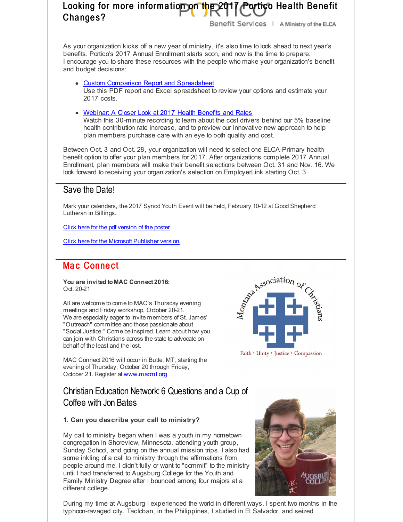## Looking for more information on the 2017 Portico Health Benefit Changes?

Benefit Services | A Ministry of the ELCA

As your organization kicks off a new year of ministry, it's also time to look ahead to next year's benefits. Portico's 2017 Annual Enrollment starts soon, and now is the time to prepare. I encourage you to share these resources with the people who make your organization's benefit and budget decisions:

- Custom Comparison Report and [Spreadsheet](http://r20.rs6.net/tn.jsp?f=001Xe-_HkuGvZNI02Y_6sLnYbv8h0xh2uNT5iiiXpPH_RpqLQKOD_6h3YWFBcDgzXPoL7o_aPlqXUTsLegkz2OOmbISpi7Y-kTJi2rxTXn3ctzIRM3sYmM0y15mJEbo2JaqyLET9UCI_rY6-tU5nBFqBLtd704S1_gVeMnj4-Ccv3bXz0gW2yuyx9Zru_hO8ztSLmykJcZrGZyZjrwAMSNBtvCNSuJX3IgFjRlJ-M5WhzlYEhWXYGwEMibIV_8f800sawS2ar_WMSdw1Goa5IrHJaXSmu3YWMdD&c=&ch=) Use this PDF report and Excel spreadsheet to review your options and estimate your 2017 costs.
- [Webinar:](http://r20.rs6.net/tn.jsp?f=001Xe-_HkuGvZNI02Y_6sLnYbv8h0xh2uNT5iiiXpPH_RpqLQKOD_6h3cZewYPtg4szILFxDRHqXBwdV1KdBbmYfoD76fgLTJO4XKKcRVujN78m_xv7MTPFLak5CHPNmgjwJK4F5Hgo5T1gHWBnKUa6nognpF0eUtoE0bkqjO1uH-VT_CEQd9hmPA==&c=&ch=) A Closer Look at 2017 Health Benefits and Rates

Watch this 30-minute recording to learn about the cost drivers behind our 5% baseline health contribution rate increase, and to preview our innovative new approach to help plan members purchase care with an eye to both quality and cost.

Between Oct. 3 and Oct. 28, your organization will need to select one ELCA-Primary health benefit option to offer your plan members for 2017. After organizations complete 2017 Annual Enrollment, plan members will make their benefit selections between Oct. 31 and Nov. 16. We look forward to receiving your organization's selection on EmployerLink starting Oct. 3.

## Save the Date!

Mark your calendars, the 2017 Synod Youth Event will be held, February 10-12 at Good Shepherd Lutheran in Billings.

Click here for the pdf [version](http://r20.rs6.net/tn.jsp?f=001Xe-_HkuGvZNI02Y_6sLnYbv8h0xh2uNT5iiiXpPH_RpqLQKOD_6h3QKeSFQrxuNwkGus5z0Yqi-cKhbZeeryd4tLDL-j9sNodBcXemArkTJKyiJUmBNxWNloCnrYYQUjiN38ysoo2GI7YRgV6JxvutoxFBEf5bO3mOc_vjf2XWVtzc5bX5KiKIiD8rvrQyRnbIDWt4AFr6iW1scAR6s27UwjaKgWUgT97zQlncdwzzNe__PTBNeHrVznm9Sb7obawQxD8DZU5SQ=&c=&ch=) of the poster

Click here for the Microsoft [Publisher](http://r20.rs6.net/tn.jsp?f=001Xe-_HkuGvZNI02Y_6sLnYbv8h0xh2uNT5iiiXpPH_RpqLQKOD_6h3QKeSFQrxuNw4ZlA2wTIaod8H8J-bGb63L1ELrtz9DxcwDS9iPmdCROpPc326h6el5SpSB0M_1vCN3uAIbC9hIAbPaUu6n_d3Px-dQHam5bvYNETdVKOdG1-rmbf8zZCt75R2C91nlmhBFHu6RKGSxbGIgwXv2PB1KpxaOI7Ky8ZUdcN-zcyIsdRBF9THoQQZJqK-1EpshI60CLRtX6SfXQ=&c=&ch=) version

## Mac Connect

**You are invited to MAC Connect 2016:** Oct. 20-21

All are welcome to come to MAC's Thursday evening meetings and Friday workshop, October 20-21. We are especially eager to invite members of St. James' "Outreach" committee and those passionate about "Social Justice." Come be inspired. Learn about how you can join with Christians across the state to advocate on behalf of the least and the lost.



MAC Connect 2016 will occur in Butte, MT, starting the evening of Thursday, October 20 through Friday, October 21. Register at [www.macmt.org](http://r20.rs6.net/tn.jsp?f=001Xe-_HkuGvZNI02Y_6sLnYbv8h0xh2uNT5iiiXpPH_RpqLQKOD_6h3ZPzPS7MJxLe2hfchDikHoj41XldjILkqVCBmIGWhY4xKtuOenfI-xSAcILxZrh648qe1avAejkNdGQOkf3AecNLngXssWGMv9Otj7raouguP6bWtk9leH8=&c=&ch=)

## Christian Education Network: 6 Questions and a Cup of Coffee with Jon Bates

#### **1. Can you describe your call to ministry?**

My call to ministry began when I was a youth in my hometown congregation in Shoreview, Minnesota, attending youth group, Sunday School, and going on the annual mission trips. I also had some inkling of a call to ministry through the affirmations from people around me. I didn't fully or want to "commit" to the ministry until I had transferred to Augsburg College for the Youth and Family Ministry Degree after I bounced among four majors at a different college.



During my time at Augsburg I experienced the world in different ways. I spent two months in the typhoon-ravaged city, Tacloban, in the Philippines, I studied in El Salvador, and seized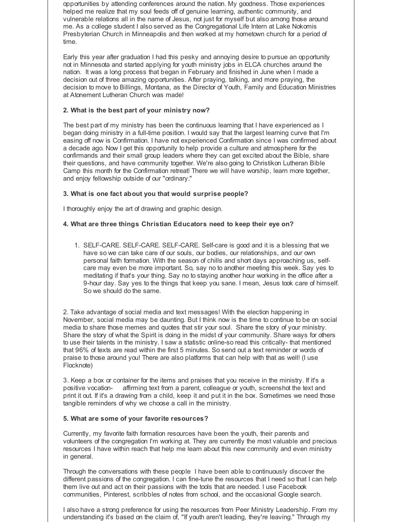opportunities by attending conferences around the nation. My goodness. Those experiences helped me realize that my soul feeds off of genuine learning, authentic community, and vulnerable relations all in the name of Jesus, not just for myself but also among those around me. As a college student I also served as the Congregational Life Intern at Lake Nokomis Presbyterian Church in Minneapolis and then worked at my hometown church for a period of time.

Early this year after graduation I had this pesky and annoying desire to pursue an opportunity not in Minnesota and started applying for youth ministry jobs in ELCA churches around the nation. It was a long process that began in February and finished in June when I made a decision out of three amazing opportunities. After praying, talking, and more praying, the decision to move to Billings, Montana, as the Director of Youth, Family and Education Ministries at Atonement Lutheran Church was made!

#### **2. What is the best part of your ministry now?**

The best part of my ministry has been the continuous learning that I have experienced as I began doing ministry in a full-time position. I would say that the largest learning curve that I'm easing off now is Confirmation. I have not experienced Confirmation since I was confirmed about a decade ago. Now I get this opportunity to help provide a culture and atmosphere for the confirmands and their small group leaders where they can get excited about the Bible, share their questions, and have community together. We're also going to Christikon Lutheran Bible Camp this month for the Confirmation retreat! There we will have worship, learn more together, and enjoy fellowship outside of our "ordinary."

#### **3. What is one fact about you that would surprise people?**

I thoroughly enjoy the art of drawing and graphic design.

#### **4. What are three things Christian Educators need to keep their eye on?**

1. SELF-CARE. SELF-CARE. SELF-CARE. Self-care is good and it is a blessing that we have so we can take care of our souls, our bodies, our relationships, and our own personal faith formation. With the season of chills and short days approaching us, selfcare may even be more important. So, say no to another meeting this week. Say yes to meditating if that's your thing. Say no to staying another hour working in the office after a 9-hour day. Say yes to the things that keep you sane. I mean, Jesus took care of himself. So we should do the same.

2. Take advantage of social media and text messages! With the election happening in November, social media may be daunting. But I think now is the time to continue to be on social media to share those memes and quotes that stir your soul. Share the story of your ministry. Share the story of what the Spirit is doing in the midst of your community. Share ways for others to use their talents in the ministry. I saw a statistic online-so read this critically- that mentioned that 96% of texts are read within the first 5 minutes. So send out a text reminder or words of praise to those around you! There are also platforms that can help with that as well! (I use Flocknote)

3. Keep a box or container for the items and praises that you receive in the ministry. If it's a positive vocation- affirming text from a parent, colleague or youth, screenshot the text and print it out. If it's a drawing from a child, keep it and put it in the box. Sometimes we need those tangible reminders of why we choose a call in the ministry.

#### **5. What are some of your favorite resources?**

Currently, my favorite faith formation resources have been the youth, their parents and volunteers of the congregation I'm working at. They are currently the most valuable and precious resources I have within reach that help me learn about this new community and even ministry in general.

Through the conversations with these people I have been able to continuously discover the different passions of the congregation. I can fine-tune the resources that I need so that I can help them live out and act on their passions with the tools that are needed. I use Facebook communities, Pinterest, scribbles of notes from school, and the occasional Google search.

I also have a strong preference for using the resources from Peer Ministry Leadership. From my understanding it's based on the claim of, "If youth aren't leading, they're leaving." Through my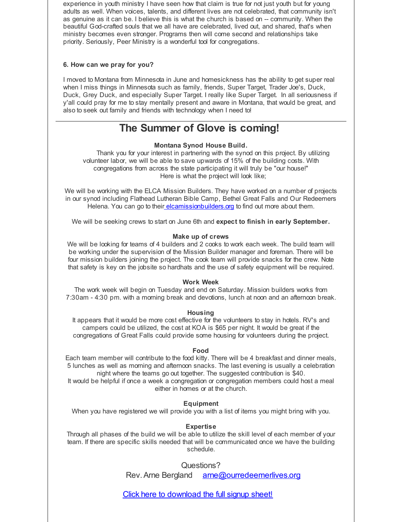experience in youth ministry I have seen how that claim is true for not just youth but for young adults as well. When voices, talents, and different lives are not celebrated, that community isn't as genuine as it can be. I believe this is what the church is based on -- community. When the beautiful God-crafted souls that we all have are celebrated, lived out, and shared, that's when ministry becomes even stronger. Programs then will come second and relationships take priority. Seriously, Peer Ministry is a wonderful tool for congregations.

#### **6. How can we pray for you?**

I moved to Montana from Minnesota in June and homesickness has the ability to get super real when I miss things in Minnesota such as family, friends, Super Target, Trader Joe's, Duck, Duck, Grey Duck, and especially Super Target. I really like Super Target. In all seriousness if y'all could pray for me to stay mentally present and aware in Montana, that would be great, and also to seek out family and friends with technology when I need to!

## **The Summer of Glove is coming!**

#### **Montana Synod House Build.**

Thank you for your interest in partnering with the synod on this project. By utilizing volunteer labor, we will be able to save upwards of 15% of the building costs. With congregations from across the state participating it will truly be "our house!" Here is what the project will look like;

We will be working with the ELCA Mission Builders. They have worked on a number of projects in our synod including Flathead Lutheran Bible Camp, Bethel Great Falls and Our Redeemers Helena. You can go to their [elcamissionbuilders.org](http://r20.rs6.net/tn.jsp?f=001Xe-_HkuGvZNI02Y_6sLnYbv8h0xh2uNT5iiiXpPH_RpqLQKOD_6h3QKeSFQrxuNwG83JG_zyekHpTfd8vBzD6fFffFpZKfI39Zvijfv04Otn-u0HUtEyrWUKTkXxAvgD6GQSRY5O8muXJIrOWVKU0bewm-QVnhx-b8kI-_Nw2ak=&c=&ch=) to find out more about them.

We will be seeking crews to start on June 6th and **expect to finish in early September.**

#### **Make up of crews**

We will be looking for teams of 4 builders and 2 cooks to work each week. The build team will be working under the supervision of the Mission Builder manager and foreman. There will be four mission builders joining the project. The cook team will provide snacks for the crew. Note that safety is key on the jobsite so hardhats and the use of safety equipment will be required.

#### **Work Week**

The work week will begin on Tuesday and end on Saturday. Mission builders works from 7:30am - 4:30 pm. with a morning break and devotions, lunch at noon and an afternoon break.

#### **Housing**

It appears that it would be more cost effective for the volunteers to stay in hotels. RV's and campers could be utilized, the cost at KOA is \$65 per night. It would be great if the congregations of Great Falls could provide some housing for volunteers during the project.

#### **Food**

Each team member will contribute to the food kitty. There will be 4 breakfast and dinner meals, 5 lunches as well as morning and afternoon snacks. The last evening is usually a celebration night where the teams go out together. The suggested contribution is \$40.

It would be helpful if once a week a congregation or congregation members could host a meal either in homes or at the church.

#### **Equipment**

When you have registered we will provide you with a list of items you might bring with you.

#### **Expertise**

Through all phases of the build we will be able to utilize the skill level of each member of your team. If there are specific skills needed that will be communicated once we have the building schedule.

Questions?

Rev. Arne Bergland [arne@ourredeemerlives.org](mailto:arne@ourredeemerlives.org)

Click here to [download](http://r20.rs6.net/tn.jsp?f=001Xe-_HkuGvZNI02Y_6sLnYbv8h0xh2uNT5iiiXpPH_RpqLQKOD_6h3QKeSFQrxuNwhPbfj96HVid-m63BiQu6tUANWuW2ihJW8jUmV5aEtcnQ1hqdgA7u7aM4REv_o7xu8QIEB1djl1adQz9cuoPxsqrp5f97QjTrNZrKvSCMp4UaTZ5nYHp_4D-BUperEEobbSbPVaciMw8NAkEWeGjRYJ0dSGKuIcT2_mCyNX7QQkT3brHL-YlHZELMtzDjeF2KFcRNGehmPvs=&c=&ch=) the full signup sheet!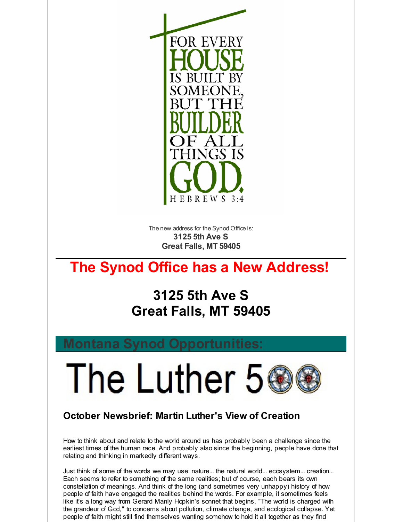

The new address for the Synod Office is: **3125 5th Ave S Great Falls, MT 59405**

# **The Synod Office has a New Address!**

# **3125 5th Ave S Great Falls, MT 59405**

The Luther 5

## **October Newsbrief: Martin Luther's View of Creation**

How to think about and relate to the world around us has probably been a challenge since the earliest times of the human race. And probably also since the beginning, people have done that relating and thinking in markedly different ways.

Just think of some of the words we may use: nature... the natural world... ecosystem... creation... Each seems to refer to something of the same realities; but of course, each bears its own constellation of meanings. And think of the long (and sometimes very unhappy) history of how people of faith have engaged the realities behind the words. For example, it sometimes feels like it's a long way from Gerard Manly Hopkin's sonnet that begins, "The world is charged with the grandeur of God," to concerns about pollution, climate change, and ecological collapse. Yet people of faith might still find themselves wanting somehow to hold it all together as they find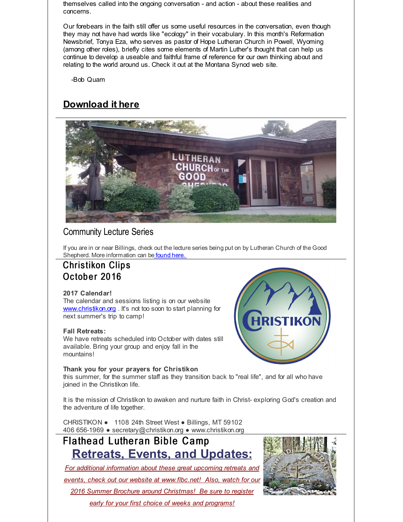themselves called into the ongoing conversation - and action - about these realities and concerns.

Our forebears in the faith still offer us some useful resources in the conversation, even though they may not have had words like "ecology" in their vocabulary. In this month's Reformation Newsbrief, Tonya Eza, who serves as pastor of Hope Lutheran Church in Powell, Wyoming (among other roles), briefly cites some elements of Martin Luther's thought that can help us continue to develop a useable and faithful frame of reference for our own thinking about and relating to the world around us. Check it out at the Montana Synod web site.

-Bob Quam

## **[Download](http://r20.rs6.net/tn.jsp?f=001Xe-_HkuGvZNI02Y_6sLnYbv8h0xh2uNT5iiiXpPH_RpqLQKOD_6h3cesd2yU2sbgo8FWQUa9-TuvbZKcvX8Ig0fEI_nOJfysFqJQF8aUm0UKB2-yB8R4-PJ9vB1E2P_NiXVJwIGrNRL8FA-QKhKxBrH21mJpJPknRL78slPlOJJlyNGExR6NaDUv7psykM9JUFDqURQ1P2g=&c=&ch=) it here**



## Community Lecture Series

If you are in or near Billings, check out the lecture series being put on by Lutheran Church of the Good Shepherd. More information can be [found](http://r20.rs6.net/tn.jsp?f=001Xe-_HkuGvZNI02Y_6sLnYbv8h0xh2uNT5iiiXpPH_RpqLQKOD_6h3cZewYPtg4szDp_hl9-oRK_OBlrxodED5mG1tUK-0m6iKPYdk3BOBQrR7AS5M8Dyts5lto3VeZ2lV7rldGGwNYzUqF89LQnr_hq_wdSjJoYe7osY_TwsDLyZvoJrm7Ol__4PhOTs2ldMzqucmEWwjd_MmEo2rPUWRcfAaJ98ptdM&c=&ch=) here.

## **Christikon Clips** October 2016

#### **2017 Calendar!**

The calendar and sessions listing is on our website [www.christikon.org](http://r20.rs6.net/tn.jsp?f=001Xe-_HkuGvZNI02Y_6sLnYbv8h0xh2uNT5iiiXpPH_RpqLQKOD_6h3fb4uy9BhvBuMoG2_-Fxe67blYGOXYr0q5WLu5ukjrxLW1s3mg_H4CEDwLvuTsXQ3IckuC2rV_aNCIV2hpOO06tbobhZaZd__0IWfnvkw3iS_hPL3ROELSc=&c=&ch=). It's not too soon to start planning for next summer's trip to camp!

#### **Fall Retreats:**

We have retreats scheduled into October with dates still available. Bring your group and enjoy fall in the mountains!

#### **Thank you for your prayers for Christikon**

this summer, for the summer staff as they transition back to "real life", and for all who have joined in the Christikon life.

It is the mission of Christikon to awaken and nurture faith in Christ- exploring God's creation and the adventure of life together.

CHRISTIKON ● 1108 24th Street West ● Billings, MT 59102 406 656-1969 ● secretary@christikon.org ● www.christikon.org

## Flathead Lutheran Bible Camp **Retreats, Events, and Updates:**

*For additional information about these great upcoming retreats and events, check out our website at [www.flbc.net](http://r20.rs6.net/tn.jsp?f=001Xe-_HkuGvZNI02Y_6sLnYbv8h0xh2uNT5iiiXpPH_RpqLQKOD_6h3Q3xDuiwTLmQNZgcq-c4IPXgWKsjQuf_RtlNQHR-KxNlNySv-aP2aCuzgnhr7taKkg146EdwG2TBsb-F_NzHT3lUY-sBfxLOz34KawuHAwyL7PBaKVyJsWoKtXLbUqorjEpJG_mAI4HAwPAP5z05gwRz5_-QKEP0BGXlb5p11k1yy8hqPZfsy8hAmS9IOiFmYbj7cDgEGeZ3&c=&ch=)! Also, watch for our 2016 Summer Brochure around Christmas! Be sure to register*

*early for your first choice of weeks and programs!*